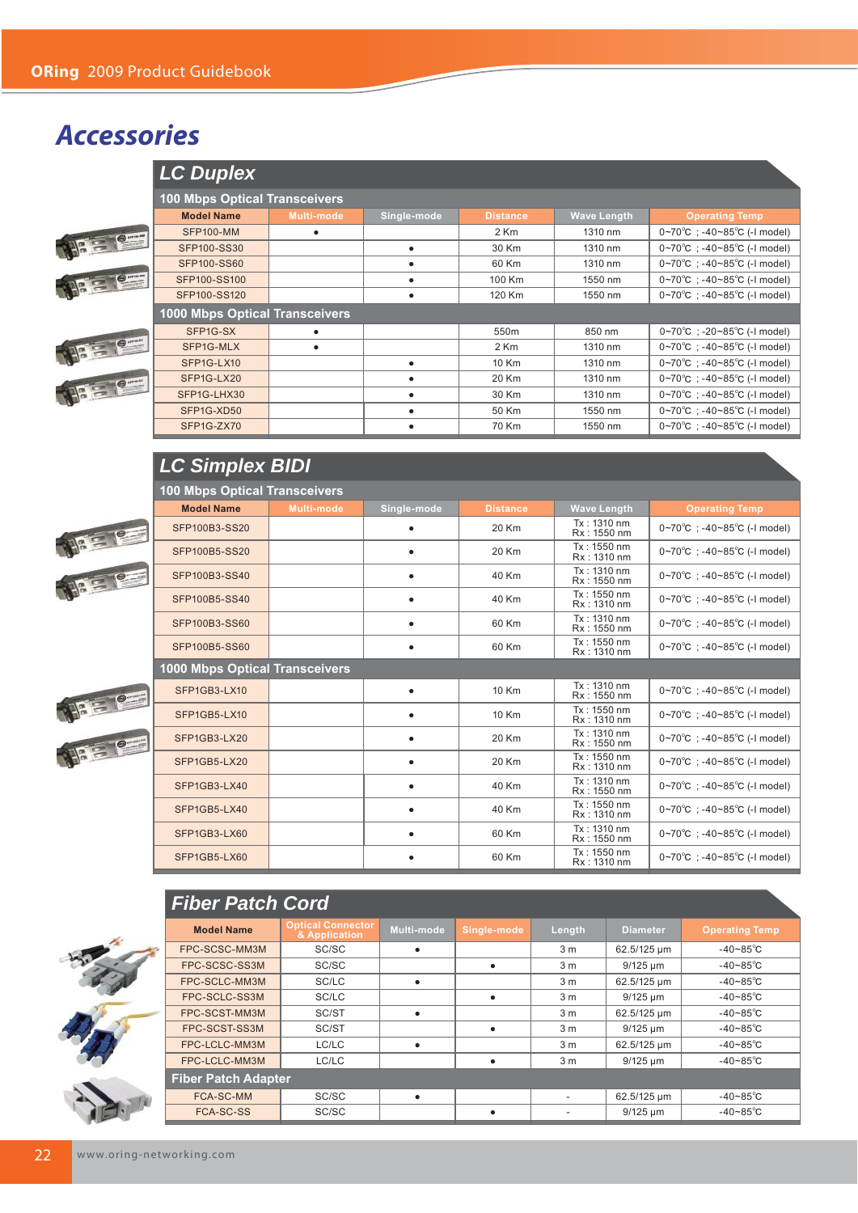## *Accessories*

|                                 | LC Duplex                             |            |             |                  |                    |                                                   |  |
|---------------------------------|---------------------------------------|------------|-------------|------------------|--------------------|---------------------------------------------------|--|
|                                 | <b>100 Mbps Optical Transceivers</b>  |            |             |                  |                    |                                                   |  |
|                                 | <b>Model Name</b>                     | Multi-mode | Single-mode | <b>Distance</b>  | <b>Wave Length</b> | <b>Operating Temp</b>                             |  |
| $\bigcirc$ or an $\blacksquare$ | <b>SFP100-MM</b>                      | $\bullet$  |             | 2 Km             | 1310 nm            | $0~70^{\circ}$ C ; -40~85 $^{\circ}$ C (-I model) |  |
|                                 | <b>SFP100-SS30</b>                    |            |             | 30 Km            | 1310 nm            | $0~70^{\circ}$ C : -40~85 $^{\circ}$ C (-I model) |  |
|                                 | <b>SFP100-SS60</b>                    |            |             | 60 Km            | 1310 nm            | $0~70^{\circ}$ C : -40~85 $^{\circ}$ C (-I model) |  |
| $\bigoplus$ created             | SFP100-SS100                          |            |             | 100 Km           | 1550 nm            | $0~70^{\circ}$ C : -40~85 $^{\circ}$ C (-1 model) |  |
|                                 | SFP100-SS120                          |            | $\bullet$   | 120 Km           | 1550 nm            | $0~70^{\circ}$ C : -40~85 $^{\circ}$ C (-I model) |  |
|                                 | <b>1000 Mbps Optical Transceivers</b> |            |             |                  |                    |                                                   |  |
|                                 | SFP1G-SX                              | $\bullet$  |             | 550 <sub>m</sub> | 850 nm             | $0~70^{\circ}$ C : -20~85 $^{\circ}$ C (-I model) |  |
| BE P                            | SFP1G-MLX                             | $\bullet$  |             | 2 Km             | 1310 nm            | $0~70^{\circ}$ C : -40~85 $^{\circ}$ C (-I model) |  |
|                                 | SFP1G-LX10                            |            |             | 10 Km            | 1310 nm            | $0~70^{\circ}$ C : -40~85 $^{\circ}$ C (-I model) |  |
|                                 | SFP1G-LX20                            |            |             | 20 Km            | 1310 nm            | $0~70^{\circ}$ C : -40~85 $^{\circ}$ C (-I model) |  |
| BE PE                           | SFP1G-LHX30                           |            |             | 30 Km            | 1310 nm            | $0~70^{\circ}$ C : -40~85 $^{\circ}$ C (-I model) |  |
|                                 | SFP1G-XD50                            |            |             | 50 Km            | 1550 nm            | $0~70^{\circ}$ C : -40~85 $^{\circ}$ C (-I model) |  |
|                                 | SFP1G-ZX70                            |            |             | 70 Km            | 1550 nm            | $0~70^{\circ}$ C : -40~85 $^{\circ}$ C (-I model) |  |

## *LC Simplex BIDI*



| <b>100 Mbps Optical Transceivers</b>  |                   |             |                 |                              |                                                   |
|---------------------------------------|-------------------|-------------|-----------------|------------------------------|---------------------------------------------------|
| <b>Model Name</b>                     | <b>Multi-mode</b> | Single-mode | <b>Distance</b> | <b>Wave Length</b>           | <b>Operating Temp</b>                             |
| SFP100B3-SS20                         |                   | $\bullet$   | 20 Km           | Tx: 1310 nm<br>Rx: 1550 nm   | $0~70^{\circ}$ C : -40~85 $^{\circ}$ C (-1 model) |
| SFP100B5-SS20                         |                   |             | 20 Km           | Tx: 1550 nm<br>Rx: 1310 nm   | 0~70°C : -40~85°C (-1 model)                      |
| SFP100B3-SS40                         |                   |             | 40 Km           | Tx: 1310 nm<br>Rx: 1550 nm   | $0~70^{\circ}$ C ; -40~85 $^{\circ}$ C (-I model) |
| SFP100B5-SS40                         |                   | $\bullet$   | 40 Km           | $Tx: 1550$ nm<br>Rx: 1310 nm | $0~70^{\circ}$ C : -40~85 $^{\circ}$ C (-1 model) |
| SFP100B3-SS60                         |                   |             | 60 Km           | Tx: 1310 nm<br>Rx: 1550 nm   | $0~70^{\circ}$ C ; -40~85 $^{\circ}$ C (-I model) |
| SFP100B5-SS60                         |                   |             | 60 Km           | Tx: 1550 nm<br>Rx: 1310 nm   | $0~70^{\circ}$ C : -40~85 $^{\circ}$ C (-1 model) |
| <b>1000 Mbps Optical Transceivers</b> |                   |             |                 |                              |                                                   |
| SFP1GB3-LX10                          |                   |             | 10 Km           | Tx: 1310 nm<br>Rx: 1550 nm   | $0~70^{\circ}$ C : -40~85 $^{\circ}$ C (-1 model) |
| SFP1GB5-LX10                          |                   |             | 10 Km           | Tx: 1550 nm<br>Rx: 1310 nm   | $0~70^{\circ}$ C ; -40~85 $^{\circ}$ C (-I model) |
| SFP1GB3-LX20                          |                   | $\bullet$   | 20 Km           | $Tx: 1310$ nm<br>Rx: 1550 nm | $0~70^{\circ}$ C : -40~85 $^{\circ}$ C (-1 model) |
| SFP1GB5-LX20                          |                   |             | 20 Km           | Tx: 1550 nm<br>Rx: 1310 nm   | 0~70°C : -40~85°C (-1 model)                      |
| SFP1GB3-LX40                          |                   | $\bullet$   | 40 Km           | Tx: 1310 nm<br>Rx: 1550 nm   | $0~70^{\circ}$ C : -40~85 $^{\circ}$ C (-1 model) |
| SFP1GB5-LX40                          |                   |             | 40 Km           | $Tx: 1550$ nm<br>Rx: 1310 nm | $0~70^{\circ}$ C : -40~85 $^{\circ}$ C (-1 model) |
| SFP1GB3-LX60                          |                   | $\bullet$   | 60 Km           | Tx: 1310 nm<br>Rx: 1550 nm   | $0~70^{\circ}$ C ; -40~85 $^{\circ}$ C (-I model) |
| SFP1GB5-LX60                          |                   |             | 60 Km           | Tx: 1550 nm<br>Rx: 1310 nm   | $0~70^{\circ}$ C ; -40~85 $^{\circ}$ C (-1 model) |





| <b>Fiber Patch Cord</b>    |                                           |                   |             |                |                 |                       |
|----------------------------|-------------------------------------------|-------------------|-------------|----------------|-----------------|-----------------------|
| <b>Model Name</b>          | <b>Optical Connector</b><br>& Application | <b>Multi-mode</b> | Single-mode | Length         | <b>Diameter</b> | <b>Operating Temp</b> |
| FPC-SCSC-MM3M              | SC/SC                                     | ٠                 |             | 3 <sub>m</sub> | 62.5/125 µm     | -40~85 $\degree$ C    |
| FPC-SCSC-SS3M              | SC/SC                                     |                   |             | 3 <sub>m</sub> | $9/125 \mu m$   | -40~85 $\degree$ C    |
| FPC-SCLC-MM3M              | SC/LC                                     | ٠                 |             | 3 <sub>m</sub> | 62.5/125 µm     | $-40-85^{\circ}$ C    |
| FPC-SCLC-SS3M              | SC/LC                                     |                   |             | 3 <sub>m</sub> | $9/125 \mu m$   | -40~85 $\degree$ C    |
| FPC-SCST-MM3M              | SC/ST                                     | ٠                 |             | 3 <sub>m</sub> | 62.5/125 µm     | $-40 - 85^{\circ}C$   |
| FPC-SCST-SS3M              | SC/ST                                     |                   |             | 3 <sub>m</sub> | $9/125 \mu m$   | -40~85 $\degree$ C    |
| FPC-LCLC-MM3M              | LC/LC                                     | $\bullet$         |             | 3 <sub>m</sub> | 62.5/125 µm     | -40~85 $\degree$ C    |
| FPC-LCLC-MM3M              | LC/LC                                     |                   | ٠           | 3 <sub>m</sub> | $9/125 \mu m$   | -40~85 $\degree$ C    |
| <b>Fiber Patch Adapter</b> |                                           |                   |             |                |                 |                       |
| <b>FCA-SC-MM</b>           | SC/SC                                     | ٠                 |             |                | 62.5/125 µm     | -40~85 $\degree$ C    |
| <b>FCA-SC-SS</b>           | SC/SC                                     |                   | ٠           |                | $9/125 \mu m$   | $-40 - 85^{\circ}C$   |